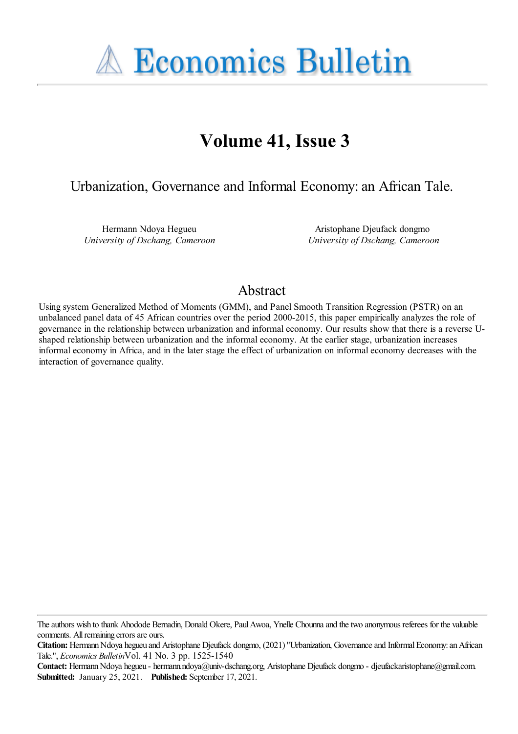

# **Volume 41, Issue 3**

## Urbanization, Governance and Informal Economy:an African Tale.

Hermann Ndoya Hegueu *University of Dschang, Cameroon*

Aristophane Djeufack dongmo *University of Dschang, Cameroon*

## Abstract

Using system Generalized Method of Moments (GMM), and Panel Smooth Transition Regression (PSTR) on an unbalanced panel data of 45 African countries over the period 2000-2015, this paper empirically analyzes the role of governance in the relationship between urbanization and informal economy. Our results show that there is a reverse Ushaped relationship between urbanization and the informal economy. At the earlier stage, urbanization increases informal economy in Africa, and in the later stage the effect of urbanization on informal economy decreases with the interaction of governance quality.

The authors wish to thank Ahodode Bernadin, Donald Okere, Paul Awoa, Ynelle Chounna and the two anonymous referees for the valuable comments. All remaining errors are ours.

**Citation:** Hermann Ndoya hegueu and Aristophane Djeufack dongmo, (2021) "Urbanization, Governance and Informal Economy: an African Tale.'', *Economics Bulletin*Vol. 41 No. 3 pp. 1525-1540

Contact: Hermann Ndoya hegueu - hermann.ndoya@univ-dschang.org, Aristophane Djeufack dongmo - djeufackaristophane@gmail.com. **Submitted:** January 25, 2021. **Published:** September 17, 2021.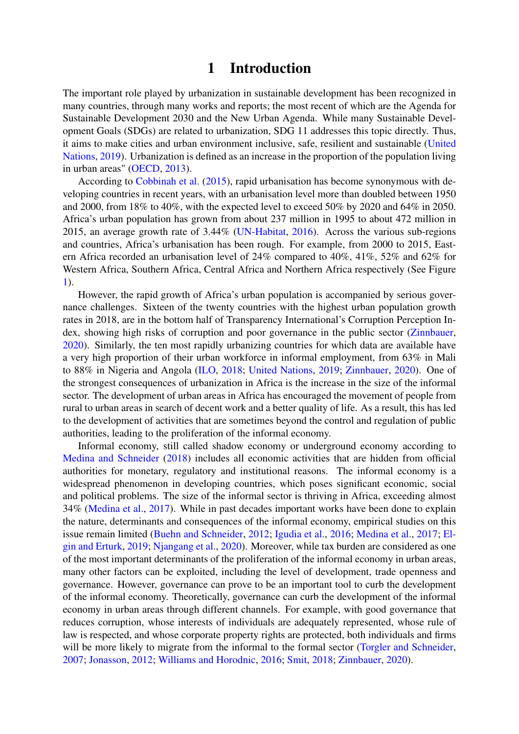### 1 Introduction

The important role played by urbanization in sustainable development has been recognized in many countries, through many works and reports; the most recent of which are the Agenda for Sustainable Development 2030 and the New Urban Agenda. While many Sustainable Development Goals (SDGs) are related to urbanization, SDG 11 addresses this topic directly. Thus, it aims to make cities and urban environment inclusive, safe, resilient and sustainable [\(United](#page-14-0) [Nations,](#page-14-0) [2019\)](#page-14-0). Urbanization is defined as an increase in the proportion of the population living in urban areas" [\(OECD,](#page-14-1) [2013\)](#page-14-1).

According to [Cobbinah et al.](#page-12-0) [\(2015\)](#page-12-0), rapid urbanisation has become synonymous with developing countries in recent years, with an urbanisation level more than doubled between 1950 and 2000, from 18% to 40%, with the expected level to exceed 50% by 2020 and 64% in 2050. Africa's urban population has grown from about 237 million in 1995 to about 472 million in 2015, an average growth rate of 3.44% [\(UN-Habitat,](#page-14-2) [2016\)](#page-14-2). Across the various sub-regions and countries, Africa's urbanisation has been rough. For example, from 2000 to 2015, Eastern Africa recorded an urbanisation level of 24% compared to 40%, 41%, 52% and 62% for Western Africa, Southern Africa, Central Africa and Northern Africa respectively (See Figure [1\)](#page-2-0).

However, the rapid growth of Africa's urban population is accompanied by serious governance challenges. Sixteen of the twenty countries with the highest urban population growth rates in 2018, are in the bottom half of Transparency International's Corruption Perception Index, showing high risks of corruption and poor governance in the public sector [\(Zinnbauer,](#page-14-3) [2020\)](#page-14-3). Similarly, the ten most rapidly urbanizing countries for which data are available have a very high proportion of their urban workforce in informal employment, from 63% in Mali to 88% in Nigeria and Angola [\(ILO,](#page-13-0) [2018;](#page-13-0) [United Nations,](#page-14-0) [2019;](#page-14-0) [Zinnbauer,](#page-14-3) [2020\)](#page-14-3). One of the strongest consequences of urbanization in Africa is the increase in the size of the informal sector. The development of urban areas in Africa has encouraged the movement of people from rural to urban areas in search of decent work and a better quality of life. As a result, this has led to the development of activities that are sometimes beyond the control and regulation of public authorities, leading to the proliferation of the informal economy.

Informal economy, still called shadow economy or underground economy according to [Medina and Schneider](#page-13-1) [\(2018\)](#page-13-1) includes all economic activities that are hidden from official authorities for monetary, regulatory and institutional reasons. The informal economy is a widespread phenomenon in developing countries, which poses significant economic, social and political problems. The size of the informal sector is thriving in Africa, exceeding almost 34% [\(Medina et al.,](#page-13-2) [2017\)](#page-13-2). While in past decades important works have been done to explain the nature, determinants and consequences of the informal economy, empirical studies on this issue remain limited [\(Buehn and Schneider,](#page-12-1) [2012;](#page-12-1) [Igudia et al.,](#page-13-3) [2016;](#page-13-3) [Medina et al.,](#page-13-2) [2017;](#page-13-2) [El](#page-12-2)[gin and Erturk,](#page-12-2) [2019;](#page-12-2) [Njangang et al.,](#page-14-4) [2020\)](#page-14-4). Moreover, while tax burden are considered as one of the most important determinants of the proliferation of the informal economy in urban areas, many other factors can be exploited, including the level of development, trade openness and governance. However, governance can prove to be an important tool to curb the development of the informal economy. Theoretically, governance can curb the development of the informal economy in urban areas through different channels. For example, with good governance that reduces corruption, whose interests of individuals are adequately represented, whose rule of law is respected, and whose corporate property rights are protected, both individuals and firms will be more likely to migrate from the informal to the formal sector [\(Torgler and Schneider,](#page-14-5) [2007;](#page-14-5) [Jonasson,](#page-13-4) [2012;](#page-13-4) [Williams and Horodnic,](#page-14-6) [2016;](#page-14-6) [Smit,](#page-14-7) [2018;](#page-14-7) [Zinnbauer,](#page-14-3) [2020\)](#page-14-3).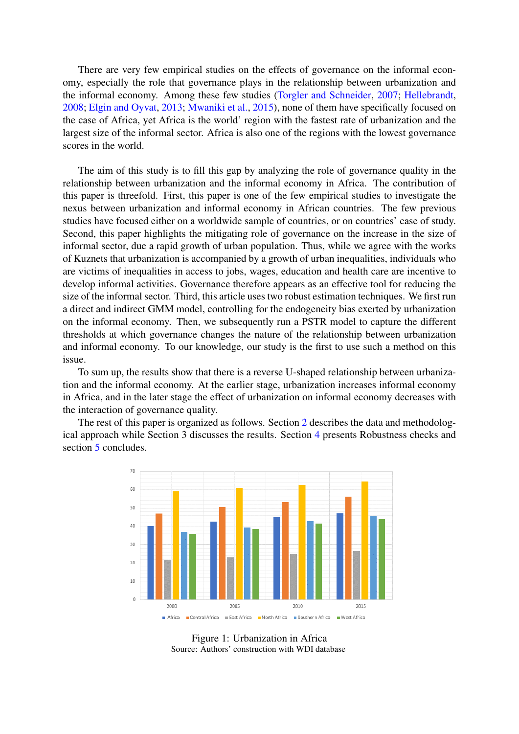There are very few empirical studies on the effects of governance on the informal economy, especially the role that governance plays in the relationship between urbanization and the informal economy. Among these few studies [\(Torgler and Schneider,](#page-14-5) [2007;](#page-14-5) [Hellebrandt,](#page-13-5) [2008;](#page-13-5) [Elgin and Oyvat,](#page-13-6) [2013;](#page-13-6) [Mwaniki et al.,](#page-13-7) [2015\)](#page-13-7), none of them have specifically focused on the case of Africa, yet Africa is the world' region with the fastest rate of urbanization and the largest size of the informal sector. Africa is also one of the regions with the lowest governance scores in the world.

The aim of this study is to fill this gap by analyzing the role of governance quality in the relationship between urbanization and the informal economy in Africa. The contribution of this paper is threefold. First, this paper is one of the few empirical studies to investigate the nexus between urbanization and informal economy in African countries. The few previous studies have focused either on a worldwide sample of countries, or on countries' case of study. Second, this paper highlights the mitigating role of governance on the increase in the size of informal sector, due a rapid growth of urban population. Thus, while we agree with the works of Kuznets that urbanization is accompanied by a growth of urban inequalities, individuals who are victims of inequalities in access to jobs, wages, education and health care are incentive to develop informal activities. Governance therefore appears as an effective tool for reducing the size of the informal sector. Third, this article uses two robust estimation techniques. We first run a direct and indirect GMM model, controlling for the endogeneity bias exerted by urbanization on the informal economy. Then, we subsequently run a PSTR model to capture the different thresholds at which governance changes the nature of the relationship between urbanization and informal economy. To our knowledge, our study is the first to use such a method on this issue.

To sum up, the results show that there is a reverse U-shaped relationship between urbanization and the informal economy. At the earlier stage, urbanization increases informal economy in Africa, and in the later stage the effect of urbanization on informal economy decreases with the interaction of governance quality.

The rest of this paper is organized as follows. Section [2](#page-3-0) describes the data and methodological approach while Section 3 discusses the results. Section [4](#page-10-0) presents Robustness checks and section [5](#page-12-3) concludes.



<span id="page-2-0"></span>Figure 1: Urbanization in Africa Source: Authors' construction with WDI database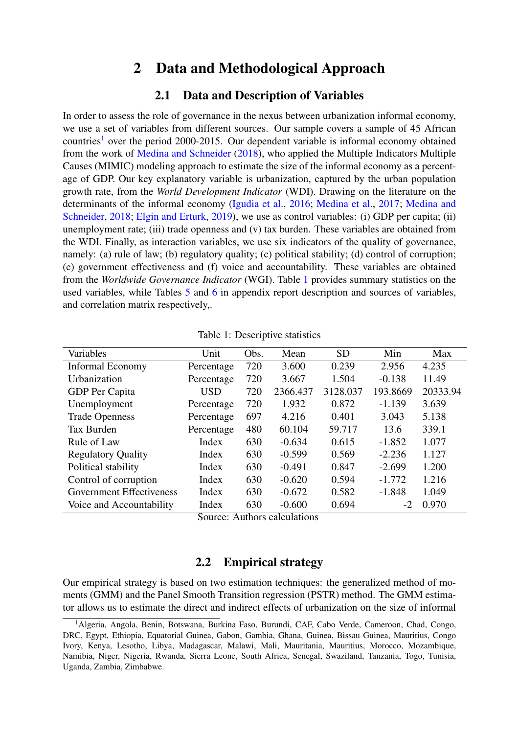### 2 Data and Methodological Approach

### 2.1 Data and Description of Variables

<span id="page-3-0"></span>In order to assess the role of governance in the nexus between urbanization informal economy, we use a set of variables from different sources. Our sample covers a sample of 45 African countries<sup>[1](#page-3-1)</sup> over the period 2000-2015. Our dependent variable is informal economy obtained from the work of [Medina and Schneider](#page-13-1) [\(2018\)](#page-13-1), who applied the Multiple Indicators Multiple Causes (MIMIC) modeling approach to estimate the size of the informal economy as a percentage of GDP. Our key explanatory variable is urbanization, captured by the urban population growth rate, from the *World Development Indicator* (WDI). Drawing on the literature on the determinants of the informal economy [\(Igudia et al.,](#page-13-3) [2016;](#page-13-3) [Medina et al.,](#page-13-2) [2017;](#page-13-2) [Medina and](#page-13-1) [Schneider,](#page-13-1) [2018;](#page-13-1) [Elgin and Erturk,](#page-12-2) [2019\)](#page-12-2), we use as control variables: (i) GDP per capita; (ii) unemployment rate; (iii) trade openness and  $(v)$  tax burden. These variables are obtained from the WDI. Finally, as interaction variables, we use six indicators of the quality of governance, namely: (a) rule of law; (b) regulatory quality; (c) political stability; (d) control of corruption; (e) government effectiveness and (f) voice and accountability. These variables are obtained from the *Worldwide Governance Indicator* (WGI). Table [1](#page-3-2) provides summary statistics on the used variables, while Tables [5](#page-15-0) and [6](#page-16-0) in appendix report description and sources of variables, and correlation matrix respectively,.

| Variables                 | Unit       | Obs. | Mean     | <b>SD</b> | Min      | Max      |
|---------------------------|------------|------|----------|-----------|----------|----------|
| <b>Informal Economy</b>   | Percentage | 720  | 3.600    | 0.239     | 2.956    | 4.235    |
| Urbanization              | Percentage | 720  | 3.667    | 1.504     | $-0.138$ | 11.49    |
| GDP Per Capita            | USD        | 720  | 2366.437 | 3128.037  | 193.8669 | 20333.94 |
| Unemployment              | Percentage | 720  | 1.932    | 0.872     | $-1.139$ | 3.639    |
| <b>Trade Openness</b>     | Percentage | 697  | 4.216    | 0.401     | 3.043    | 5.138    |
| Tax Burden                | Percentage | 480  | 60.104   | 59.717    | 13.6     | 339.1    |
| Rule of Law               | Index      | 630  | $-0.634$ | 0.615     | $-1.852$ | 1.077    |
| <b>Regulatory Quality</b> | Index      | 630  | $-0.599$ | 0.569     | $-2.236$ | 1.127    |
| Political stability       | Index      | 630  | $-0.491$ | 0.847     | $-2.699$ | 1.200    |
| Control of corruption     | Index      | 630  | $-0.620$ | 0.594     | $-1.772$ | 1.216    |
| Government Effectiveness  | Index      | 630  | $-0.672$ | 0.582     | $-1.848$ | 1.049    |
| Voice and Accountability  | Index      | 630  | $-0.600$ | 0.694     | $-2$     | 0.970    |

<span id="page-3-2"></span>Table 1: Descriptive statistics

Source: Authors calculations

### 2.2 Empirical strategy

Our empirical strategy is based on two estimation techniques: the generalized method of moments (GMM) and the Panel Smooth Transition regression (PSTR) method. The GMM estimator allows us to estimate the direct and indirect effects of urbanization on the size of informal

<span id="page-3-1"></span><sup>&</sup>lt;sup>1</sup>Algeria, Angola, Benin, Botswana, Burkina Faso, Burundi, CAF, Cabo Verde, Cameroon, Chad, Congo, DRC, Egypt, Ethiopia, Equatorial Guinea, Gabon, Gambia, Ghana, Guinea, Bissau Guinea, Mauritius, Congo Ivory, Kenya, Lesotho, Libya, Madagascar, Malawi, Mali, Mauritania, Mauritius, Morocco, Mozambique, Namibia, Niger, Nigeria, Rwanda, Sierra Leone, South Africa, Senegal, Swaziland, Tanzania, Togo, Tunisia, Uganda, Zambia, Zimbabwe.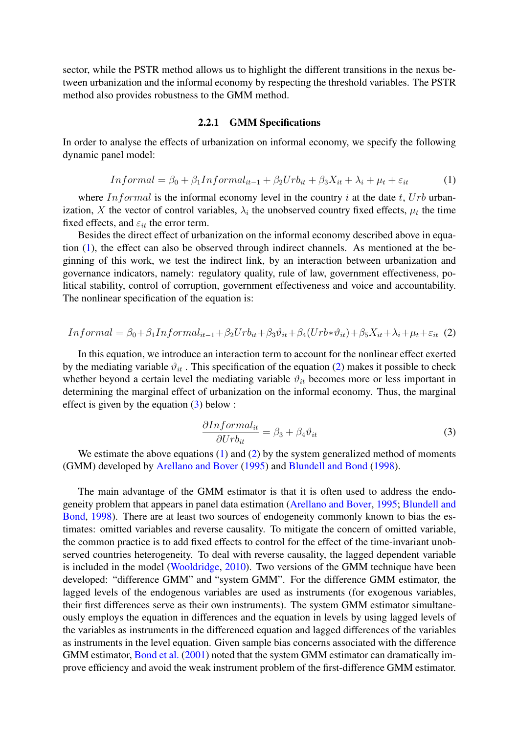sector, while the PSTR method allows us to highlight the different transitions in the nexus between urbanization and the informal economy by respecting the threshold variables. The PSTR method also provides robustness to the GMM method.

#### 2.2.1 GMM Specifications

<span id="page-4-0"></span>In order to analyse the effects of urbanization on informal economy, we specify the following dynamic panel model:

$$
In formal = \beta_0 + \beta_1 In formal_{it-1} + \beta_2 Urb_{it} + \beta_3 X_{it} + \lambda_i + \mu_t + \varepsilon_{it}
$$
 (1)

where  $In formal$  is the informal economy level in the country i at the date t,  $Urb$  urbanization, X the vector of control variables,  $\lambda_i$  the unobserved country fixed effects,  $\mu_t$  the time fixed effects, and  $\varepsilon_{it}$  the error term.

Besides the direct effect of urbanization on the informal economy described above in equation [\(1\)](#page-4-0), the effect can also be observed through indirect channels. As mentioned at the beginning of this work, we test the indirect link, by an interaction between urbanization and governance indicators, namely: regulatory quality, rule of law, government effectiveness, political stability, control of corruption, government effectiveness and voice and accountability. The nonlinear specification of the equation is:

<span id="page-4-1"></span>
$$
In formal = \beta_0 + \beta_1 In formal_{it-1} + \beta_2 Urb_{it} + \beta_3 \vartheta_{it} + \beta_4 (Urb_{it} + \beta_5 X_{it} + \lambda_i + \mu_t + \varepsilon_{it} (2)
$$

In this equation, we introduce an interaction term to account for the nonlinear effect exerted by the mediating variable  $\vartheta_{it}$ . This specification of the equation [\(2\)](#page-4-1) makes it possible to check whether beyond a certain level the mediating variable  $\vartheta_{it}$  becomes more or less important in determining the marginal effect of urbanization on the informal economy. Thus, the marginal effect is given by the equation [\(3\)](#page-4-2) below :

$$
\frac{\partial Informal_{it}}{\partial Urb_{it}} = \beta_3 + \beta_4 \vartheta_{it}
$$
\n(3)

<span id="page-4-2"></span>We estimate the above equations  $(1)$  and  $(2)$  by the system generalized method of moments (GMM) developed by [Arellano and Bover](#page-12-4) [\(1995\)](#page-12-4) and [Blundell and Bond](#page-12-5) [\(1998\)](#page-12-5).

The main advantage of the GMM estimator is that it is often used to address the endogeneity problem that appears in panel data estimation [\(Arellano and Bover,](#page-12-4) [1995;](#page-12-4) [Blundell and](#page-12-5) [Bond,](#page-12-5) [1998\)](#page-12-5). There are at least two sources of endogeneity commonly known to bias the estimates: omitted variables and reverse causality. To mitigate the concern of omitted variable, the common practice is to add fixed effects to control for the effect of the time-invariant unobserved countries heterogeneity. To deal with reverse causality, the lagged dependent variable is included in the model [\(Wooldridge,](#page-14-8) [2010\)](#page-14-8). Two versions of the GMM technique have been developed: "difference GMM" and "system GMM". For the difference GMM estimator, the lagged levels of the endogenous variables are used as instruments (for exogenous variables, their first differences serve as their own instruments). The system GMM estimator simultaneously employs the equation in differences and the equation in levels by using lagged levels of the variables as instruments in the differenced equation and lagged differences of the variables as instruments in the level equation. Given sample bias concerns associated with the difference GMM estimator, [Bond et al.](#page-12-6) [\(2001\)](#page-12-6) noted that the system GMM estimator can dramatically improve efficiency and avoid the weak instrument problem of the first-difference GMM estimator.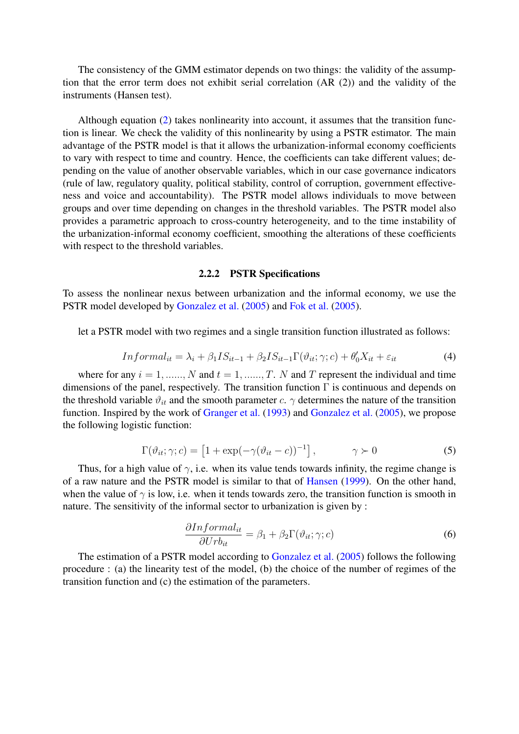The consistency of the GMM estimator depends on two things: the validity of the assumption that the error term does not exhibit serial correlation (AR (2)) and the validity of the instruments (Hansen test).

Although equation [\(2\)](#page-4-1) takes nonlinearity into account, it assumes that the transition function is linear. We check the validity of this nonlinearity by using a PSTR estimator. The main advantage of the PSTR model is that it allows the urbanization-informal economy coefficients to vary with respect to time and country. Hence, the coefficients can take different values; depending on the value of another observable variables, which in our case governance indicators (rule of law, regulatory quality, political stability, control of corruption, government effectiveness and voice and accountability). The PSTR model allows individuals to move between groups and over time depending on changes in the threshold variables. The PSTR model also provides a parametric approach to cross-country heterogeneity, and to the time instability of the urbanization-informal economy coefficient, smoothing the alterations of these coefficients with respect to the threshold variables.

#### 2.2.2 PSTR Specifications

To assess the nonlinear nexus between urbanization and the informal economy, we use the PSTR model developed by [Gonzalez et al.](#page-13-8) [\(2005\)](#page-13-8) and [Fok et al.](#page-13-9) [\(2005\)](#page-13-9).

let a PSTR model with two regimes and a single transition function illustrated as follows:

$$
In formal_{it} = \lambda_i + \beta_1 IS_{it-1} + \beta_2 IS_{it-1} \Gamma(\vartheta_{it}; \gamma; c) + \theta'_0 X_{it} + \varepsilon_{it}
$$
\n(4)

where for any  $i = 1, \dots, N$  and  $t = 1, \dots, T$ . N and T represent the individual and time dimensions of the panel, respectively. The transition function  $\Gamma$  is continuous and depends on the threshold variable  $\vartheta_{it}$  and the smooth parameter c.  $\gamma$  determines the nature of the transition function. Inspired by the work of [Granger et al.](#page-13-10) [\(1993\)](#page-13-10) and [Gonzalez et al.](#page-13-8) [\(2005\)](#page-13-8), we propose the following logistic function:

$$
\Gamma(\vartheta_{it}; \gamma; c) = \left[1 + \exp(-\gamma(\vartheta_{it} - c))^{-1}\right], \qquad \gamma \succ 0 \tag{5}
$$

Thus, for a high value of  $\gamma$ , i.e. when its value tends towards infinity, the regime change is of a raw nature and the PSTR model is similar to that of [Hansen](#page-13-11) [\(1999\)](#page-13-11). On the other hand, when the value of  $\gamma$  is low, i.e. when it tends towards zero, the transition function is smooth in nature. The sensitivity of the informal sector to urbanization is given by :

$$
\frac{\partial Informal_{it}}{\partial Urb_{it}} = \beta_1 + \beta_2 \Gamma(\vartheta_{it}; \gamma; c)
$$
\n(6)

The estimation of a PSTR model according to [Gonzalez et al.](#page-13-8) [\(2005\)](#page-13-8) follows the following procedure : (a) the linearity test of the model, (b) the choice of the number of regimes of the transition function and (c) the estimation of the parameters.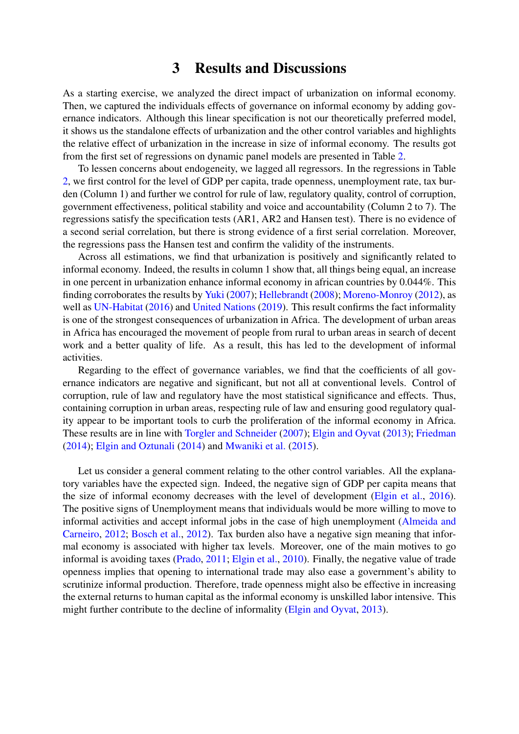### 3 Results and Discussions

As a starting exercise, we analyzed the direct impact of urbanization on informal economy. Then, we captured the individuals effects of governance on informal economy by adding governance indicators. Although this linear specification is not our theoretically preferred model, it shows us the standalone effects of urbanization and the other control variables and highlights the relative effect of urbanization in the increase in size of informal economy. The results got from the first set of regressions on dynamic panel models are presented in Table [2.](#page-7-0)

To lessen concerns about endogeneity, we lagged all regressors. In the regressions in Table [2,](#page-7-0) we first control for the level of GDP per capita, trade openness, unemployment rate, tax burden (Column 1) and further we control for rule of law, regulatory quality, control of corruption, government effectiveness, political stability and voice and accountability (Column 2 to 7). The regressions satisfy the specification tests (AR1, AR2 and Hansen test). There is no evidence of a second serial correlation, but there is strong evidence of a first serial correlation. Moreover, the regressions pass the Hansen test and confirm the validity of the instruments.

Across all estimations, we find that urbanization is positively and significantly related to informal economy. Indeed, the results in column 1 show that, all things being equal, an increase in one percent in urbanization enhance informal economy in african countries by 0.044%. This finding corroborates the results by [Yuki](#page-14-9) [\(2007\)](#page-14-9); [Hellebrandt](#page-13-5) [\(2008\)](#page-13-5); [Moreno-Monroy](#page-13-12) [\(2012\)](#page-13-12), as well as [UN-Habitat](#page-14-2) [\(2016\)](#page-14-2) and [United Nations](#page-14-0) [\(2019\)](#page-14-0). This result confirms the fact informality is one of the strongest consequences of urbanization in Africa. The development of urban areas in Africa has encouraged the movement of people from rural to urban areas in search of decent work and a better quality of life. As a result, this has led to the development of informal activities.

Regarding to the effect of governance variables, we find that the coefficients of all governance indicators are negative and significant, but not all at conventional levels. Control of corruption, rule of law and regulatory have the most statistical significance and effects. Thus, containing corruption in urban areas, respecting rule of law and ensuring good regulatory quality appear to be important tools to curb the proliferation of the informal economy in Africa. These results are in line with [Torgler and Schneider](#page-14-5) [\(2007\)](#page-14-5); [Elgin and Oyvat](#page-13-6) [\(2013\)](#page-13-6); [Friedman](#page-13-13) [\(2014\)](#page-13-13); [Elgin and Oztunali](#page-13-14) [\(2014\)](#page-13-14) and [Mwaniki et al.](#page-13-7) [\(2015\)](#page-13-7).

Let us consider a general comment relating to the other control variables. All the explanatory variables have the expected sign. Indeed, the negative sign of GDP per capita means that the size of informal economy decreases with the level of development [\(Elgin et al.,](#page-13-15) [2016\)](#page-13-15). The positive signs of Unemployment means that individuals would be more willing to move to informal activities and accept informal jobs in the case of high unemployment [\(Almeida and](#page-12-7) [Carneiro,](#page-12-7) [2012;](#page-12-7) [Bosch et al.,](#page-12-8) [2012\)](#page-12-8). Tax burden also have a negative sign meaning that informal economy is associated with higher tax levels. Moreover, one of the main motives to go informal is avoiding taxes [\(Prado,](#page-14-10) [2011;](#page-14-10) [Elgin et al.,](#page-13-16) [2010\)](#page-13-16). Finally, the negative value of trade openness implies that opening to international trade may also ease a government's ability to scrutinize informal production. Therefore, trade openness might also be effective in increasing the external returns to human capital as the informal economy is unskilled labor intensive. This might further contribute to the decline of informality [\(Elgin and Oyvat,](#page-13-6) [2013\)](#page-13-6).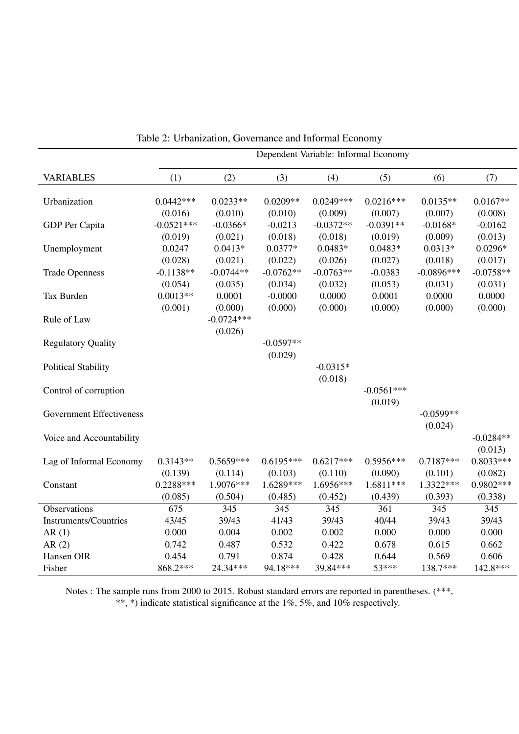|                                 | Dependent Variable: Informal Economy |              |             |             |              |                 |                  |
|---------------------------------|--------------------------------------|--------------|-------------|-------------|--------------|-----------------|------------------|
| <b>VARIABLES</b>                | (1)                                  | (2)          | (3)         | (4)         | (5)          | (6)             | (7)              |
|                                 | $0.0442***$                          |              |             | $0.0249***$ | $0.0216***$  | $0.0135**$      |                  |
| Urbanization                    |                                      | $0.0233**$   | $0.0209**$  |             |              |                 | $0.0167**$       |
|                                 | (0.016)                              | (0.010)      | (0.010)     | (0.009)     | (0.007)      | (0.007)         | (0.008)          |
| GDP Per Capita                  | $-0.0521***$                         | $-0.0366*$   | $-0.0213$   | $-0.0372**$ | $-0.0391**$  | $-0.0168*$      | $-0.0162$        |
|                                 | (0.019)                              | (0.021)      | (0.018)     | (0.018)     | (0.019)      | (0.009)         | (0.013)          |
| Unemployment                    | 0.0247                               | $0.0413*$    | $0.0377*$   | $0.0483*$   | $0.0483*$    | $0.0313*$       | $0.0296*$        |
|                                 | (0.028)                              | (0.021)      | (0.022)     | (0.026)     | (0.027)      | (0.018)         | (0.017)          |
| <b>Trade Openness</b>           | $-0.1138**$                          | $-0.0744**$  | $-0.0762**$ | $-0.0763**$ | $-0.0383$    | $-0.0896***$    | $-0.0758**$      |
|                                 | (0.054)                              | (0.035)      | (0.034)     | (0.032)     | (0.053)      | (0.031)         | (0.031)          |
| Tax Burden                      | $0.0013**$                           | 0.0001       | $-0.0000$   | 0.0000      | 0.0001       | 0.0000          | 0.0000           |
|                                 | (0.001)                              | (0.000)      | (0.000)     | (0.000)     | (0.000)      | (0.000)         | (0.000)          |
| Rule of Law                     |                                      | $-0.0724***$ |             |             |              |                 |                  |
|                                 |                                      | (0.026)      |             |             |              |                 |                  |
| <b>Regulatory Quality</b>       |                                      |              | $-0.0597**$ |             |              |                 |                  |
|                                 |                                      |              | (0.029)     |             |              |                 |                  |
| <b>Political Stability</b>      |                                      |              |             | $-0.0315*$  |              |                 |                  |
|                                 |                                      |              |             | (0.018)     |              |                 |                  |
| Control of corruption           |                                      |              |             |             | $-0.0561***$ |                 |                  |
|                                 |                                      |              |             |             | (0.019)      |                 |                  |
| <b>Government Effectiveness</b> |                                      |              |             |             |              | $-0.0599**$     |                  |
|                                 |                                      |              |             |             |              | (0.024)         |                  |
| Voice and Accountability        |                                      |              |             |             |              |                 | $-0.0284**$      |
|                                 |                                      |              |             |             |              |                 | (0.013)          |
| Lag of Informal Economy         | $0.3143**$                           | $0.5659***$  | $0.6195***$ | $0.6217***$ | $0.5956***$  | $0.7187***$     | $0.8033***$      |
|                                 | (0.139)                              | (0.114)      | (0.103)     | (0.110)     | (0.090)      | (0.101)         | (0.082)          |
| Constant                        | $0.2288***$                          | 1.9076***    | 1.6289***   | 1.6956***   | $1.6811***$  | $1.3322***$     | 0.9802 ***       |
|                                 | (0.085)                              | (0.504)      | (0.485)     | (0.452)     | (0.439)      | (0.393)         | (0.338)          |
| Observations                    | $\overline{675}$                     | 345          | 345         | 345         | 361          | $\frac{345}{ }$ | $\overline{345}$ |
| <b>Instruments/Countries</b>    | 43/45                                | 39/43        | 41/43       | 39/43       | 40/44        | 39/43           | 39/43            |
| AR(1)                           | 0.000                                | 0.004        | 0.002       | 0.002       | 0.000        | 0.000           | 0.000            |
| AR(2)                           | 0.742                                | 0.487        | 0.532       | 0.422       | 0.678        | 0.615           | 0.662            |
| Hansen OIR                      | 0.454                                | 0.791        | 0.874       | 0.428       | 0.644        | 0.569           | 0.606            |
| Fisher                          | 868.2***                             | 24.34***     | 94.18***    | 39.84***    | 53***        | 138.7***        | 142.8***         |

<span id="page-7-0"></span>Table 2: Urbanization, Governance and Informal Economy

Notes : The sample runs from 2000 to 2015. Robust standard errors are reported in parentheses. (\*\*\*, \*\*, \*) indicate statistical significance at the 1%, 5%, and 10% respectively.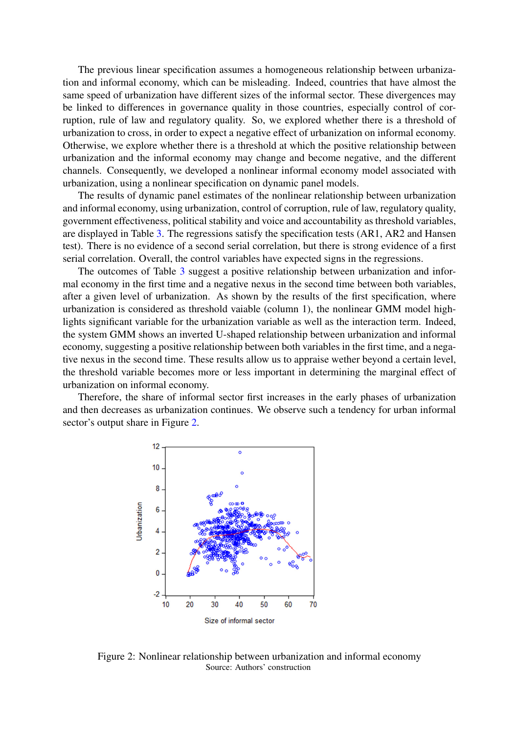The previous linear specification assumes a homogeneous relationship between urbanization and informal economy, which can be misleading. Indeed, countries that have almost the same speed of urbanization have different sizes of the informal sector. These divergences may be linked to differences in governance quality in those countries, especially control of corruption, rule of law and regulatory quality. So, we explored whether there is a threshold of urbanization to cross, in order to expect a negative effect of urbanization on informal economy. Otherwise, we explore whether there is a threshold at which the positive relationship between urbanization and the informal economy may change and become negative, and the different channels. Consequently, we developed a nonlinear informal economy model associated with urbanization, using a nonlinear specification on dynamic panel models.

The results of dynamic panel estimates of the nonlinear relationship between urbanization and informal economy, using urbanization, control of corruption, rule of law, regulatory quality, government effectiveness, political stability and voice and accountability as threshold variables, are displayed in Table [3.](#page-9-0) The regressions satisfy the specification tests (AR1, AR2 and Hansen test). There is no evidence of a second serial correlation, but there is strong evidence of a first serial correlation. Overall, the control variables have expected signs in the regressions.

The outcomes of Table [3](#page-9-0) suggest a positive relationship between urbanization and informal economy in the first time and a negative nexus in the second time between both variables, after a given level of urbanization. As shown by the results of the first specification, where urbanization is considered as threshold vaiable (column 1), the nonlinear GMM model highlights significant variable for the urbanization variable as well as the interaction term. Indeed, the system GMM shows an inverted U-shaped relationship between urbanization and informal economy, suggesting a positive relationship between both variables in the first time, and a negative nexus in the second time. These results allow us to appraise wether beyond a certain level, the threshold variable becomes more or less important in determining the marginal effect of urbanization on informal economy.

Therefore, the share of informal sector first increases in the early phases of urbanization and then decreases as urbanization continues. We observe such a tendency for urban informal sector's output share in Figure [2.](#page-8-0)



<span id="page-8-0"></span>Figure 2: Nonlinear relationship between urbanization and informal economy Source: Authors' construction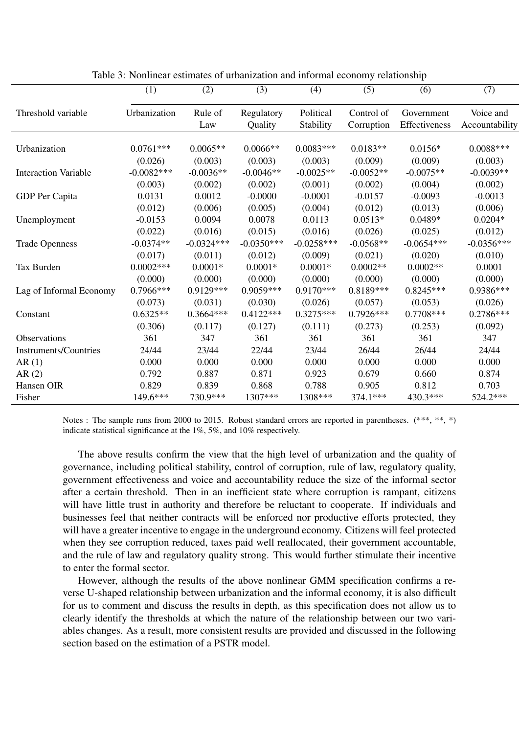|                              | (1)          | (2)          | (3)          | (4)          | (5)         | (6)           | (7)            |
|------------------------------|--------------|--------------|--------------|--------------|-------------|---------------|----------------|
| Threshold variable           | Urbanization | Rule of      | Regulatory   | Political    | Control of  | Government    | Voice and      |
|                              |              | Law          | Quality      | Stability    | Corruption  | Effectiveness | Accountability |
|                              |              |              |              |              |             |               |                |
| Urbanization                 | $0.0761***$  | $0.0065**$   | $0.0066**$   | $0.0083***$  | $0.0183**$  | $0.0156*$     | $0.0088***$    |
|                              | (0.026)      | (0.003)      | (0.003)      | (0.003)      | (0.009)     | (0.009)       | (0.003)        |
| <b>Interaction Variable</b>  | $-0.0082***$ | $-0.0036**$  | $-0.0046**$  | $-0.0025**$  | $-0.0052**$ | $-0.0075**$   | $-0.0039**$    |
|                              | (0.003)      | (0.002)      | (0.002)      | (0.001)      | (0.002)     | (0.004)       | (0.002)        |
| GDP Per Capita               | 0.0131       | 0.0012       | $-0.0000$    | $-0.0001$    | $-0.0157$   | $-0.0093$     | $-0.0013$      |
|                              | (0.012)      | (0.006)      | (0.005)      | (0.004)      | (0.012)     | (0.013)       | (0.006)        |
| Unemployment                 | $-0.0153$    | 0.0094       | 0.0078       | 0.0113       | $0.0513*$   | 0.0489*       | $0.0204*$      |
|                              | (0.022)      | (0.016)      | (0.015)      | (0.016)      | (0.026)     | (0.025)       | (0.012)        |
| <b>Trade Openness</b>        | $-0.0374**$  | $-0.0324***$ | $-0.0350***$ | $-0.0258***$ | $-0.0568**$ | $-0.0654***$  | $-0.0356***$   |
|                              | (0.017)      | (0.011)      | (0.012)      | (0.009)      | (0.021)     | (0.020)       | (0.010)        |
| Tax Burden                   | $0.0002***$  | $0.0001*$    | $0.0001*$    | $0.0001*$    | $0.0002**$  | $0.0002**$    | 0.0001         |
|                              | (0.000)      | (0.000)      | (0.000)      | (0.000)      | (0.000)     | (0.000)       | (0.000)        |
| Lag of Informal Economy      | 0.7966***    | $0.9129***$  | 0.9059***    | $0.9170***$  | 0.8189***   | $0.8245***$   | 0.9386***      |
|                              | (0.073)      | (0.031)      | (0.030)      | (0.026)      | (0.057)     | (0.053)       | (0.026)        |
| Constant                     | $0.6325**$   | $0.3664***$  | $0.4122***$  | $0.3275***$  | $0.7926***$ | $0.7708***$   | 0.2786***      |
|                              | (0.306)      | (0.117)      | (0.127)      | (0.111)      | (0.273)     | (0.253)       | (0.092)        |
| Observations                 | 361          | 347          | 361          | 361          | 361         | 361           | 347            |
| <b>Instruments/Countries</b> | 24/44        | 23/44        | 22/44        | 23/44        | 26/44       | 26/44         | 24/44          |
| AR(1)                        | 0.000        | 0.000        | 0.000        | 0.000        | 0.000       | 0.000         | 0.000          |
| AR(2)                        | 0.792        | 0.887        | 0.871        | 0.923        | 0.679       | 0.660         | 0.874          |
| Hansen OIR                   | 0.829        | 0.839        | 0.868        | 0.788        | 0.905       | 0.812         | 0.703          |
| Fisher                       | 149.6***     | 730.9***     | 1307***      | 1308***      | 374.1***    | 430.3***      | 524.2 ***      |

<span id="page-9-0"></span>Table 3: Nonlinear estimates of urbanization and informal economy relationship

Notes : The sample runs from 2000 to 2015. Robust standard errors are reported in parentheses. (\*\*\*, \*\*, \*) indicate statistical significance at the 1%, 5%, and 10% respectively.

The above results confirm the view that the high level of urbanization and the quality of governance, including political stability, control of corruption, rule of law, regulatory quality, government effectiveness and voice and accountability reduce the size of the informal sector after a certain threshold. Then in an inefficient state where corruption is rampant, citizens will have little trust in authority and therefore be reluctant to cooperate. If individuals and businesses feel that neither contracts will be enforced nor productive efforts protected, they will have a greater incentive to engage in the underground economy. Citizens will feel protected when they see corruption reduced, taxes paid well reallocated, their government accountable, and the rule of law and regulatory quality strong. This would further stimulate their incentive to enter the formal sector.

However, although the results of the above nonlinear GMM specification confirms a reverse U-shaped relationship between urbanization and the informal economy, it is also difficult for us to comment and discuss the results in depth, as this specification does not allow us to clearly identify the thresholds at which the nature of the relationship between our two variables changes. As a result, more consistent results are provided and discussed in the following section based on the estimation of a PSTR model.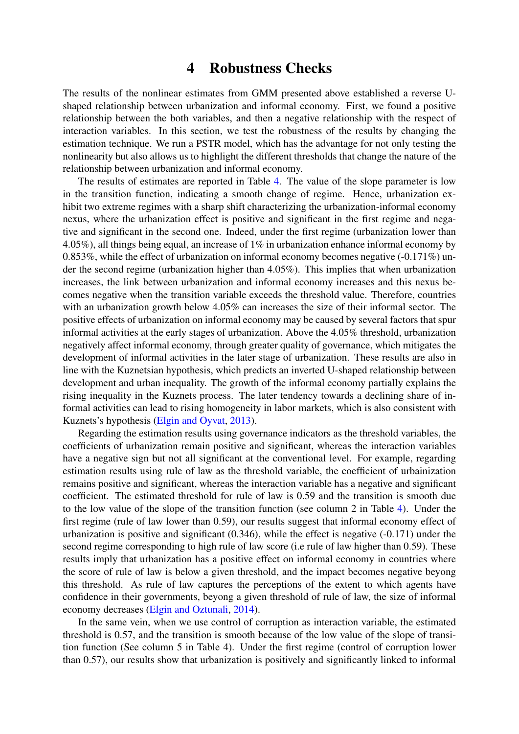### 4 Robustness Checks

<span id="page-10-0"></span>The results of the nonlinear estimates from GMM presented above established a reverse Ushaped relationship between urbanization and informal economy. First, we found a positive relationship between the both variables, and then a negative relationship with the respect of interaction variables. In this section, we test the robustness of the results by changing the estimation technique. We run a PSTR model, which has the advantage for not only testing the nonlinearity but also allows us to highlight the different thresholds that change the nature of the relationship between urbanization and informal economy.

The results of estimates are reported in Table [4.](#page-11-0) The value of the slope parameter is low in the transition function, indicating a smooth change of regime. Hence, urbanization exhibit two extreme regimes with a sharp shift characterizing the urbanization-informal economy nexus, where the urbanization effect is positive and significant in the first regime and negative and significant in the second one. Indeed, under the first regime (urbanization lower than 4.05%), all things being equal, an increase of  $1\%$  in urbanization enhance informal economy by 0.853%, while the effect of urbanization on informal economy becomes negative (-0.171%) under the second regime (urbanization higher than 4.05%). This implies that when urbanization increases, the link between urbanization and informal economy increases and this nexus becomes negative when the transition variable exceeds the threshold value. Therefore, countries with an urbanization growth below 4.05% can increases the size of their informal sector. The positive effects of urbanization on informal economy may be caused by several factors that spur informal activities at the early stages of urbanization. Above the 4.05% threshold, urbanization negatively affect informal economy, through greater quality of governance, which mitigates the development of informal activities in the later stage of urbanization. These results are also in line with the Kuznetsian hypothesis, which predicts an inverted U-shaped relationship between development and urban inequality. The growth of the informal economy partially explains the rising inequality in the Kuznets process. The later tendency towards a declining share of informal activities can lead to rising homogeneity in labor markets, which is also consistent with Kuznets's hypothesis [\(Elgin and Oyvat,](#page-13-6) [2013\)](#page-13-6).

Regarding the estimation results using governance indicators as the threshold variables, the coefficients of urbanization remain positive and significant, whereas the interaction variables have a negative sign but not all significant at the conventional level. For example, regarding estimation results using rule of law as the threshold variable, the coefficient of urbainization remains positive and significant, whereas the interaction variable has a negative and significant coefficient. The estimated threshold for rule of law is 0.59 and the transition is smooth due to the low value of the slope of the transition function (see column 2 in Table [4\)](#page-11-0). Under the first regime (rule of law lower than 0.59), our results suggest that informal economy effect of urbanization is positive and significant (0.346), while the effect is negative (-0.171) under the second regime corresponding to high rule of law score (i.e rule of law higher than 0.59). These results imply that urbanization has a positive effect on informal economy in countries where the score of rule of law is below a given threshold, and the impact becomes negative beyong this threshold. As rule of law captures the perceptions of the extent to which agents have confidence in their governments, beyong a given threshold of rule of law, the size of informal economy decreases [\(Elgin and Oztunali,](#page-13-14) [2014\)](#page-13-14).

In the same vein, when we use control of corruption as interaction variable, the estimated threshold is 0.57, and the transition is smooth because of the low value of the slope of transition function (See column 5 in Table 4). Under the first regime (control of corruption lower than 0.57), our results show that urbanization is positively and significantly linked to informal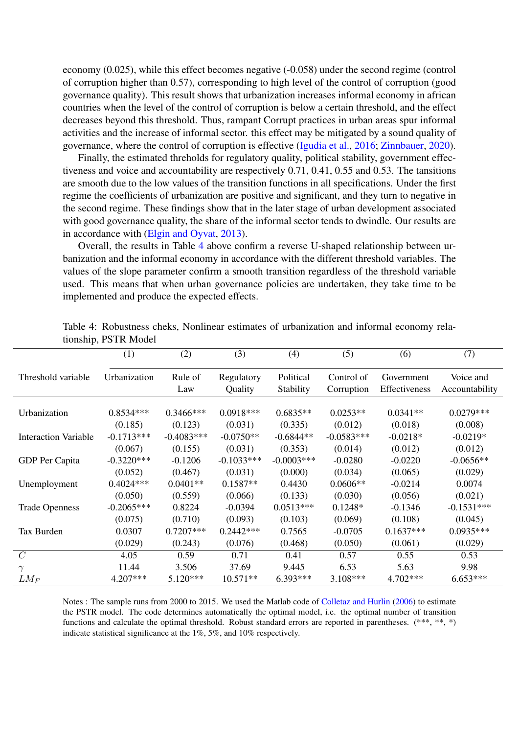economy (0.025), while this effect becomes negative (-0.058) under the second regime (control of corruption higher than 0.57), corresponding to high level of the control of corruption (good governance quality). This result shows that urbanization increases informal economy in african countries when the level of the control of corruption is below a certain threshold, and the effect decreases beyond this threshold. Thus, rampant Corrupt practices in urban areas spur informal activities and the increase of informal sector. this effect may be mitigated by a sound quality of governance, where the control of corruption is effective [\(Igudia et al.,](#page-13-3) [2016;](#page-13-3) [Zinnbauer,](#page-14-3) [2020\)](#page-14-3).

Finally, the estimated threholds for regulatory quality, political stability, government effectiveness and voice and accountability are respectively 0.71, 0.41, 0.55 and 0.53. The tansitions are smooth due to the low values of the transition functions in all specifications. Under the first regime the coefficients of urbanization are positive and significant, and they turn to negative in the second regime. These findings show that in the later stage of urban development associated with good governance quality, the share of the informal sector tends to dwindle. Our results are in accordance with [\(Elgin and Oyvat,](#page-13-6) [2013\)](#page-13-6).

Overall, the results in Table [4](#page-11-0) above confirm a reverse U-shaped relationship between urbanization and the informal economy in accordance with the different threshold variables. The values of the slope parameter confirm a smooth transition regardless of the threshold variable used. This means that when urban governance policies are undertaken, they take time to be implemented and produce the expected effects.

|                             | (1)          | (2)            | (3)                   | (4)                    | (5)                      | (6)                         | (7)                         |
|-----------------------------|--------------|----------------|-----------------------|------------------------|--------------------------|-----------------------------|-----------------------------|
| Threshold variable          | Urbanization | Rule of<br>Law | Regulatory<br>Quality | Political<br>Stability | Control of<br>Corruption | Government<br>Effectiveness | Voice and<br>Accountability |
| Urbanization                | $0.8534***$  | $0.3466$ ***   | $0.0918***$           | $0.6835**$             | $0.0253**$               | $0.0341**$                  | $0.0279***$                 |
|                             | (0.185)      | (0.123)        | (0.031)               | (0.335)                | (0.012)                  | (0.018)                     | (0.008)                     |
| <b>Interaction Variable</b> | $-0.1713***$ | $-0.4083***$   | $-0.0750**$           | $-0.6844**$            | $-0.0583***$             | $-0.0218*$                  | $-0.0219*$                  |
| GDP Per Capita              | (0.067)      | (0.155)        | (0.031)               | (0.353)                | (0.014)                  | (0.012)                     | (0.012)                     |
|                             | $-0.3220***$ | $-0.1206$      | $-0.1033***$          | $-0.0003***$           | $-0.0280$                | $-0.0220$                   | $-0.0656**$                 |
| Unemployment                | (0.052)      | (0.467)        | (0.031)               | (0.000)                | (0.034)                  | (0.065)                     | (0.029)                     |
|                             | $0.4024***$  | $0.0401**$     | $0.1587**$            | 0.4430                 | $0.0606**$               | $-0.0214$                   | 0.0074                      |
| <b>Trade Openness</b>       | (0.050)      | (0.559)        | (0.066)               | (0.133)                | (0.030)                  | (0.056)                     | (0.021)                     |
|                             | $-0.2065***$ | 0.8224         | $-0.0394$             | $0.0513***$            | $0.1248*$                | $-0.1346$                   | $-0.1531***$                |
| Tax Burden                  | (0.075)      | (0.710)        | (0.093)               | (0.103)                | (0.069)                  | (0.108)                     | (0.045)                     |
|                             | 0.0307       | $0.7207***$    | $0.2442***$           | 0.7565                 | $-0.0705$                | $0.1637***$                 | $0.0935***$                 |
| $\mathcal{C}$               | (0.029)      | (0.243)        | (0.076)               | (0.468)                | (0.050)                  | (0.061)                     | (0.029)                     |
|                             | 4.05         | 0.59           | 0.71                  | 0.41                   | 0.57                     | 0.55                        | 0.53                        |
|                             | 11.44        | 3.506          | 37.69                 | 9.445                  | 6.53                     | 5.63                        | 9.98                        |
| $LM_F$                      | 4.207***     | $5.120***$     | $10.571**$            | $6.393***$             | $3.108***$               | $4.702***$                  | $6.653***$                  |

<span id="page-11-0"></span>Table 4: Robustness cheks, Nonlinear estimates of urbanization and informal economy relationship, PSTR Model

Notes : The sample runs from 2000 to 2015. We used the Matlab code of [Colletaz and Hurlin](#page-12-9) [\(2006\)](#page-12-9) to estimate the PSTR model. The code determines automatically the optimal model, i.e. the optimal number of transition functions and calculate the optimal threshold. Robust standard errors are reported in parentheses. (\*\*\*, \*\*, \*) indicate statistical significance at the 1%, 5%, and 10% respectively.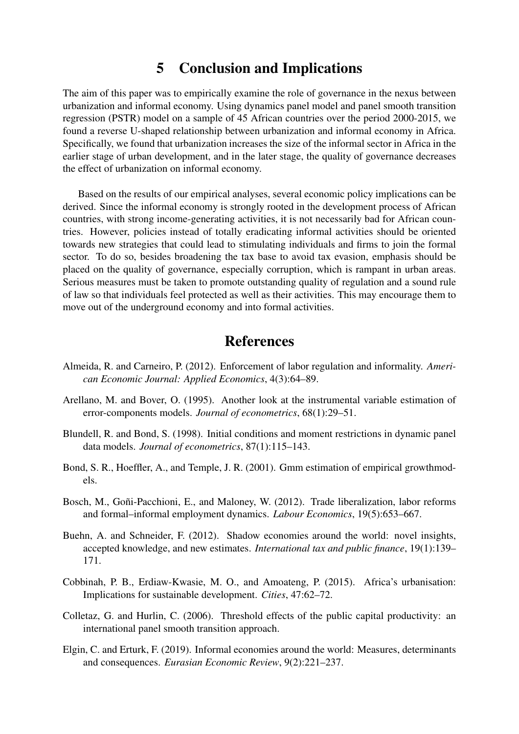### 5 Conclusion and Implications

<span id="page-12-3"></span>The aim of this paper was to empirically examine the role of governance in the nexus between urbanization and informal economy. Using dynamics panel model and panel smooth transition regression (PSTR) model on a sample of 45 African countries over the period 2000-2015, we found a reverse U-shaped relationship between urbanization and informal economy in Africa. Specifically, we found that urbanization increases the size of the informal sector in Africa in the earlier stage of urban development, and in the later stage, the quality of governance decreases the effect of urbanization on informal economy.

Based on the results of our empirical analyses, several economic policy implications can be derived. Since the informal economy is strongly rooted in the development process of African countries, with strong income-generating activities, it is not necessarily bad for African countries. However, policies instead of totally eradicating informal activities should be oriented towards new strategies that could lead to stimulating individuals and firms to join the formal sector. To do so, besides broadening the tax base to avoid tax evasion, emphasis should be placed on the quality of governance, especially corruption, which is rampant in urban areas. Serious measures must be taken to promote outstanding quality of regulation and a sound rule of law so that individuals feel protected as well as their activities. This may encourage them to move out of the underground economy and into formal activities.

### References

- <span id="page-12-7"></span>Almeida, R. and Carneiro, P. (2012). Enforcement of labor regulation and informality. *American Economic Journal: Applied Economics*, 4(3):64–89.
- <span id="page-12-4"></span>Arellano, M. and Bover, O. (1995). Another look at the instrumental variable estimation of error-components models. *Journal of econometrics*, 68(1):29–51.
- <span id="page-12-5"></span>Blundell, R. and Bond, S. (1998). Initial conditions and moment restrictions in dynamic panel data models. *Journal of econometrics*, 87(1):115–143.
- <span id="page-12-6"></span>Bond, S. R., Hoeffler, A., and Temple, J. R. (2001). Gmm estimation of empirical growthmodels.
- <span id="page-12-8"></span>Bosch, M., Goñi-Pacchioni, E., and Maloney, W. (2012). Trade liberalization, labor reforms and formal–informal employment dynamics. *Labour Economics*, 19(5):653–667.
- <span id="page-12-1"></span>Buehn, A. and Schneider, F. (2012). Shadow economies around the world: novel insights, accepted knowledge, and new estimates. *International tax and public finance*, 19(1):139– 171.
- <span id="page-12-0"></span>Cobbinah, P. B., Erdiaw-Kwasie, M. O., and Amoateng, P. (2015). Africa's urbanisation: Implications for sustainable development. *Cities*, 47:62–72.
- <span id="page-12-9"></span>Colletaz, G. and Hurlin, C. (2006). Threshold effects of the public capital productivity: an international panel smooth transition approach.
- <span id="page-12-2"></span>Elgin, C. and Erturk, F. (2019). Informal economies around the world: Measures, determinants and consequences. *Eurasian Economic Review*, 9(2):221–237.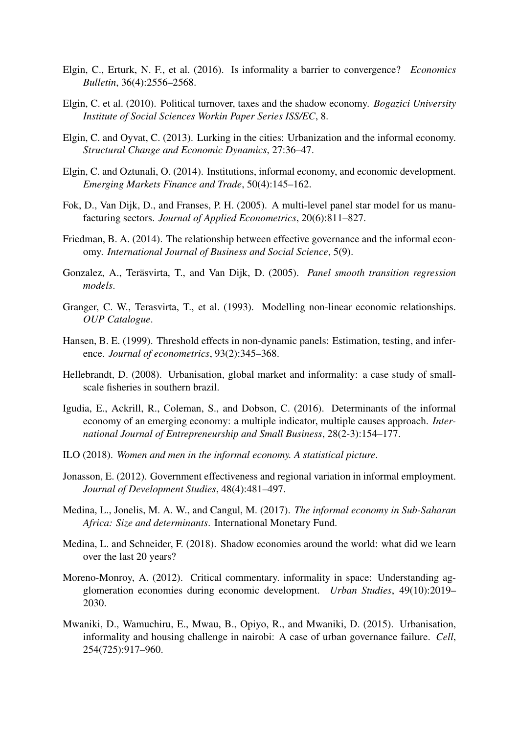- <span id="page-13-15"></span>Elgin, C., Erturk, N. F., et al. (2016). Is informality a barrier to convergence? *Economics Bulletin*, 36(4):2556–2568.
- <span id="page-13-16"></span>Elgin, C. et al. (2010). Political turnover, taxes and the shadow economy. *Bogazici University Institute of Social Sciences Workin Paper Series ISS/EC*, 8.
- <span id="page-13-6"></span>Elgin, C. and Oyvat, C. (2013). Lurking in the cities: Urbanization and the informal economy. *Structural Change and Economic Dynamics*, 27:36–47.
- <span id="page-13-14"></span>Elgin, C. and Oztunali, O. (2014). Institutions, informal economy, and economic development. *Emerging Markets Finance and Trade*, 50(4):145–162.
- <span id="page-13-9"></span>Fok, D., Van Dijk, D., and Franses, P. H. (2005). A multi-level panel star model for us manufacturing sectors. *Journal of Applied Econometrics*, 20(6):811–827.
- <span id="page-13-13"></span>Friedman, B. A. (2014). The relationship between effective governance and the informal economy. *International Journal of Business and Social Science*, 5(9).
- <span id="page-13-8"></span>Gonzalez, A., Teräsvirta, T., and Van Dijk, D. (2005). *Panel smooth transition regression models*.
- <span id="page-13-10"></span>Granger, C. W., Terasvirta, T., et al. (1993). Modelling non-linear economic relationships. *OUP Catalogue*.
- <span id="page-13-11"></span>Hansen, B. E. (1999). Threshold effects in non-dynamic panels: Estimation, testing, and inference. *Journal of econometrics*, 93(2):345–368.
- <span id="page-13-5"></span>Hellebrandt, D. (2008). Urbanisation, global market and informality: a case study of smallscale fisheries in southern brazil.
- <span id="page-13-3"></span>Igudia, E., Ackrill, R., Coleman, S., and Dobson, C. (2016). Determinants of the informal economy of an emerging economy: a multiple indicator, multiple causes approach. *International Journal of Entrepreneurship and Small Business*, 28(2-3):154–177.
- <span id="page-13-0"></span>ILO (2018). *Women and men in the informal economy. A statistical picture*.
- <span id="page-13-4"></span>Jonasson, E. (2012). Government effectiveness and regional variation in informal employment. *Journal of Development Studies*, 48(4):481–497.
- <span id="page-13-2"></span>Medina, L., Jonelis, M. A. W., and Cangul, M. (2017). *The informal economy in Sub-Saharan Africa: Size and determinants*. International Monetary Fund.
- <span id="page-13-1"></span>Medina, L. and Schneider, F. (2018). Shadow economies around the world: what did we learn over the last 20 years?
- <span id="page-13-12"></span>Moreno-Monroy, A. (2012). Critical commentary. informality in space: Understanding agglomeration economies during economic development. *Urban Studies*, 49(10):2019– 2030.
- <span id="page-13-7"></span>Mwaniki, D., Wamuchiru, E., Mwau, B., Opiyo, R., and Mwaniki, D. (2015). Urbanisation, informality and housing challenge in nairobi: A case of urban governance failure. *Cell*, 254(725):917–960.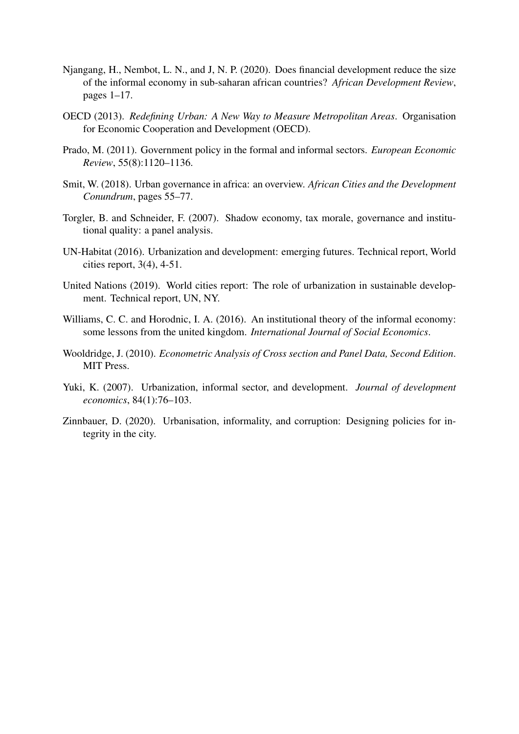- <span id="page-14-4"></span>Njangang, H., Nembot, L. N., and J, N. P. (2020). Does financial development reduce the size of the informal economy in sub-saharan african countries? *African Development Review*, pages 1–17.
- <span id="page-14-1"></span>OECD (2013). *Redefining Urban: A New Way to Measure Metropolitan Areas*. Organisation for Economic Cooperation and Development (OECD).
- <span id="page-14-10"></span>Prado, M. (2011). Government policy in the formal and informal sectors. *European Economic Review*, 55(8):1120–1136.
- <span id="page-14-7"></span>Smit, W. (2018). Urban governance in africa: an overview. *African Cities and the Development Conundrum*, pages 55–77.
- <span id="page-14-5"></span>Torgler, B. and Schneider, F. (2007). Shadow economy, tax morale, governance and institutional quality: a panel analysis.
- <span id="page-14-2"></span>UN-Habitat (2016). Urbanization and development: emerging futures. Technical report, World cities report, 3(4), 4-51.
- <span id="page-14-0"></span>United Nations (2019). World cities report: The role of urbanization in sustainable development. Technical report, UN, NY.
- <span id="page-14-6"></span>Williams, C. C. and Horodnic, I. A. (2016). An institutional theory of the informal economy: some lessons from the united kingdom. *International Journal of Social Economics*.
- <span id="page-14-8"></span>Wooldridge, J. (2010). *Econometric Analysis of Cross section and Panel Data, Second Edition*. MIT Press.
- <span id="page-14-9"></span>Yuki, K. (2007). Urbanization, informal sector, and development. *Journal of development economics*, 84(1):76–103.
- <span id="page-14-3"></span>Zinnbauer, D. (2020). Urbanisation, informality, and corruption: Designing policies for integrity in the city.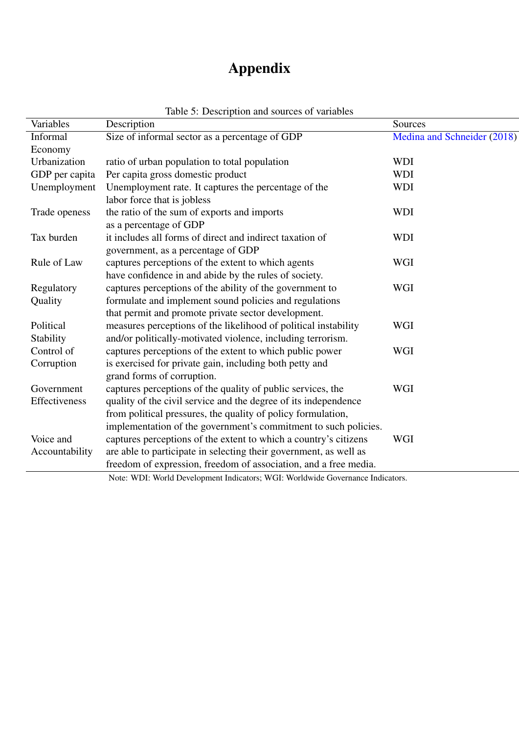# Appendix

| Variables      | $\frac{1}{2}$ . Description and sources of variables<br>Description | Sources                     |
|----------------|---------------------------------------------------------------------|-----------------------------|
| Informal       | Size of informal sector as a percentage of GDP                      | Medina and Schneider (2018) |
| Economy        |                                                                     |                             |
| Urbanization   | ratio of urban population to total population                       | <b>WDI</b>                  |
| GDP per capita | Per capita gross domestic product                                   | <b>WDI</b>                  |
| Unemployment   | Unemployment rate. It captures the percentage of the                | <b>WDI</b>                  |
|                | labor force that is jobless                                         |                             |
| Trade openess  | the ratio of the sum of exports and imports                         | <b>WDI</b>                  |
|                | as a percentage of GDP                                              |                             |
| Tax burden     | it includes all forms of direct and indirect taxation of            | <b>WDI</b>                  |
|                | government, as a percentage of GDP                                  |                             |
| Rule of Law    | captures perceptions of the extent to which agents                  | <b>WGI</b>                  |
|                | have confidence in and abide by the rules of society.               |                             |
| Regulatory     | captures perceptions of the ability of the government to            | <b>WGI</b>                  |
| Quality        | formulate and implement sound policies and regulations              |                             |
|                | that permit and promote private sector development.                 |                             |
| Political      | measures perceptions of the likelihood of political instability     | <b>WGI</b>                  |
| Stability      | and/or politically-motivated violence, including terrorism.         |                             |
| Control of     | captures perceptions of the extent to which public power            | <b>WGI</b>                  |
| Corruption     | is exercised for private gain, including both petty and             |                             |
|                | grand forms of corruption.                                          |                             |
| Government     | captures perceptions of the quality of public services, the         | <b>WGI</b>                  |
| Effectiveness  | quality of the civil service and the degree of its independence     |                             |
|                | from political pressures, the quality of policy formulation,        |                             |
|                | implementation of the government's commitment to such policies.     |                             |
| Voice and      | captures perceptions of the extent to which a country's citizens    | <b>WGI</b>                  |
| Accountability | are able to participate in selecting their government, as well as   |                             |
|                | freedom of expression, freedom of association, and a free media.    |                             |

<span id="page-15-0"></span>Table 5: Description and sources of variables

Note: WDI: World Development Indicators; WGI: Worldwide Governance Indicators.